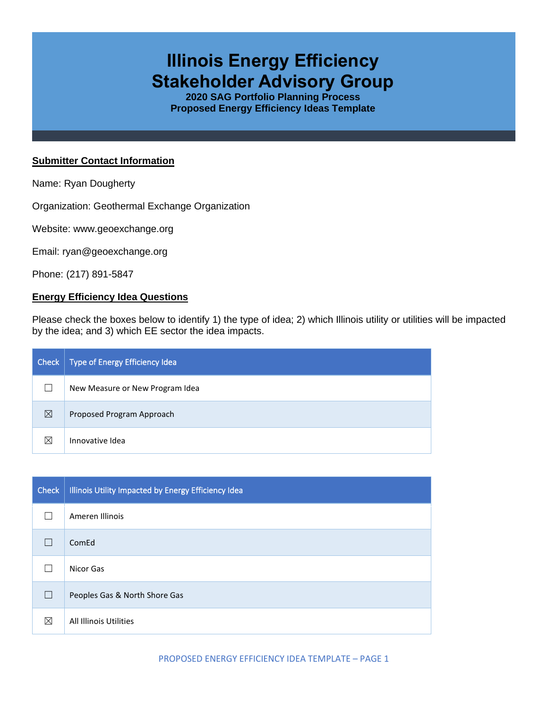# **Illinois Energy Efficiency Stakeholder Advisory Group**

**2020 SAG Portfolio Planning Process Proposed Energy Efficiency Ideas Template**

### **Submitter Contact Information**

Name: Ryan Dougherty

Organization: Geothermal Exchange Organization

Website: www.geoexchange.org

Email: ryan@geoexchange.org

Phone: (217) 891-5847

### **Energy Efficiency Idea Questions**

Please check the boxes below to identify 1) the type of idea; 2) which Illinois utility or utilities will be impacted by the idea; and 3) which EE sector the idea impacts.

| Check | Type of Energy Efficiency Idea  |
|-------|---------------------------------|
|       | New Measure or New Program Idea |
| ⊠     | Proposed Program Approach       |
| ⊠     | Innovative Idea                 |

| <b>Check</b> | Illinois Utility Impacted by Energy Efficiency Idea |
|--------------|-----------------------------------------------------|
|              | Ameren Illinois                                     |
|              | ComEd                                               |
|              | Nicor Gas                                           |
| ш            | Peoples Gas & North Shore Gas                       |
| ⊠            | All Illinois Utilities                              |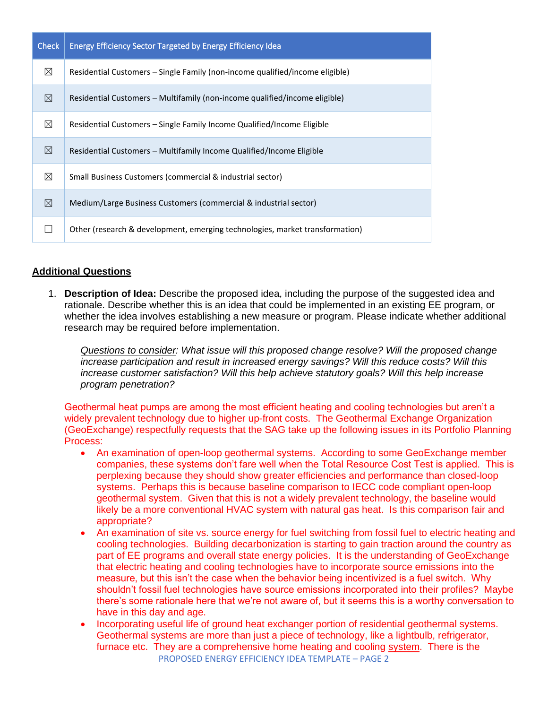| <b>Check</b> | <b>Energy Efficiency Sector Targeted by Energy Efficiency Idea</b>           |
|--------------|------------------------------------------------------------------------------|
| $\boxtimes$  | Residential Customers – Single Family (non-income qualified/income eligible) |
| $\boxtimes$  | Residential Customers – Multifamily (non-income qualified/income eligible)   |
| ⊠            | Residential Customers – Single Family Income Qualified/Income Eligible       |
| $\boxtimes$  | Residential Customers – Multifamily Income Qualified/Income Eligible         |
| ⊠            | Small Business Customers (commercial & industrial sector)                    |
| $\boxtimes$  | Medium/Large Business Customers (commercial & industrial sector)             |
|              | Other (research & development, emerging technologies, market transformation) |

## **Additional Questions**

1. **Description of Idea:** Describe the proposed idea, including the purpose of the suggested idea and rationale. Describe whether this is an idea that could be implemented in an existing EE program, or whether the idea involves establishing a new measure or program. Please indicate whether additional research may be required before implementation.

*Questions to consider: What issue will this proposed change resolve? Will the proposed change increase participation and result in increased energy savings? Will this reduce costs? Will this increase customer satisfaction? Will this help achieve statutory goals? Will this help increase program penetration?* 

Geothermal heat pumps are among the most efficient heating and cooling technologies but aren't a widely prevalent technology due to higher up-front costs. The Geothermal Exchange Organization (GeoExchange) respectfully requests that the SAG take up the following issues in its Portfolio Planning Process:

- An examination of open-loop geothermal systems. According to some GeoExchange member companies, these systems don't fare well when the Total Resource Cost Test is applied. This is perplexing because they should show greater efficiencies and performance than closed-loop systems. Perhaps this is because baseline comparison to IECC code compliant open-loop geothermal system. Given that this is not a widely prevalent technology, the baseline would likely be a more conventional HVAC system with natural gas heat. Is this comparison fair and appropriate?
- An examination of site vs. source energy for fuel switching from fossil fuel to electric heating and cooling technologies. Building decarbonization is starting to gain traction around the country as part of EE programs and overall state energy policies. It is the understanding of GeoExchange that electric heating and cooling technologies have to incorporate source emissions into the measure, but this isn't the case when the behavior being incentivized is a fuel switch. Why shouldn't fossil fuel technologies have source emissions incorporated into their profiles? Maybe there's some rationale here that we're not aware of, but it seems this is a worthy conversation to have in this day and age.
- PROPOSED ENERGY EFFICIENCY IDEA TEMPLATE PAGE 2 • Incorporating useful life of ground heat exchanger portion of residential geothermal systems. Geothermal systems are more than just a piece of technology, like a lightbulb, refrigerator, furnace etc. They are a comprehensive home heating and cooling system. There is the